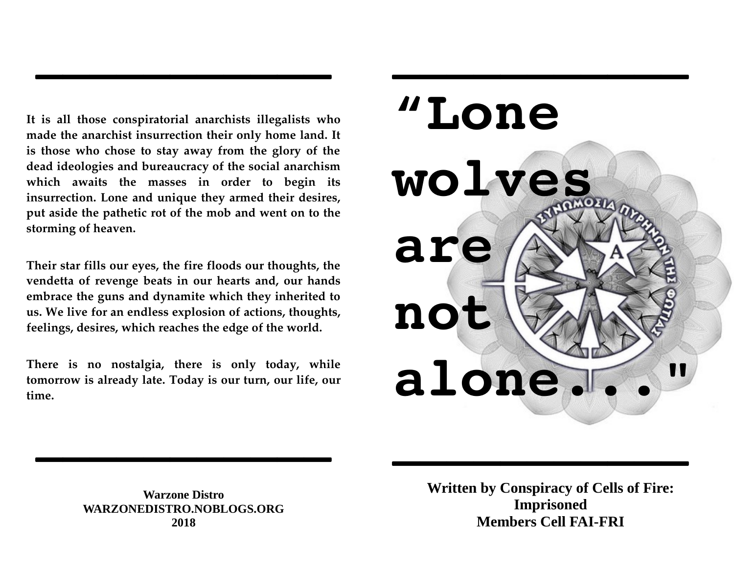**It is all those conspiratorial anarchists illegalists who made the anarchist insurrection their only home land. It is those who chose to stay away from the glory of the dead ideologies and bureaucracy of the social anarchism which awaits the masses in order to begin its insurrection. Lone and unique they armed their desires, put aside the pathetic rot of the mob and went on to the storming of heaven.** 

**\_\_\_\_\_\_\_\_\_\_\_**

**Their star fills our eyes, the fire floods our thoughts, the vendetta of revenge beats in our hearts and, our hands embrace the guns and dynamite which they inherited to us. We live for an endless explosion of actions, thoughts, feelings, desires, which reaches the edge of the world.** 

**There is no nostalgia, there is only today, while tomorrow is already late. Today is our turn, our life, our time.**

**\_\_\_\_\_\_\_\_\_\_\_**



**Warzone Distro WARZONEDISTRO.NOBLOGS.ORG 2018**

**Written by Conspiracy of Cells of Fire: Imprisoned Members Cell FAI-FRI**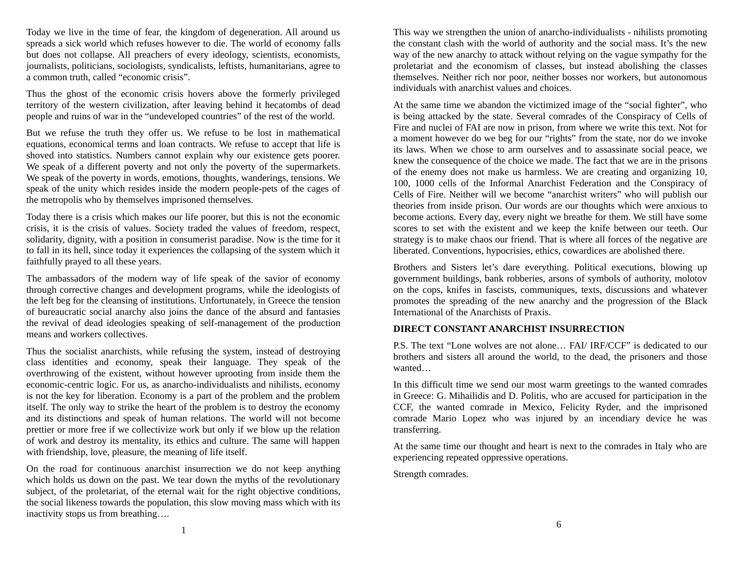Today we live in the time of fear, the kingdom of degeneration. All around us spreads a sick world which refuses however to die. The world of economy falls but does not collapse. All preachers of every ideology, scientists, economists, journalists, politicians, sociologists, syndicalists, leftists, humanitarians, agree to a common truth, called "economic crisis".

Thus the ghost of the economic crisis hovers above the formerly privileged territory of the western civilization, after leaving behind it hecatombs of dead people and ruins of war in the "undeveloped countries" of the rest of the world.

But we refuse the truth they offer us. We refuse to be lost in mathematical equations, economical terms and loan contracts. We refuse to accept that life is shoved into statistics. Numbers cannot explain why our existence gets poorer. We speak of a different poverty and not only the poverty of the supermarkets. We speak of the poverty in words, emotions, thoughts, wanderings, tensions. We speak of the unity which resides inside the modern people-pets of the cages of the metropolis who by themselves imprisoned themselves.

Today there is a crisis which makes our life poorer, but this is not the economic crisis, it is the crisis of values. Society traded the values of freedom, respect, solidarity, dignity, with a position in consumerist paradise. Now is the time for it to fall in its hell, since today it experiences the collapsing of the system which it faithfully prayed to all these years.

The ambassadors of the modern way of life speak of the savior of economy through corrective changes and development programs, while the ideologists of the left beg for the cleansing of institutions. Unfortunately, in Greece the tension of bureaucratic social anarchy also joins the dance of the absurd and fantasies the revival of dead ideologies speaking of self-management of the production means and workers collectives.

Thus the socialist anarchists, while refusing the system, instead of destroying class identities and economy, speak their language. They speak of the overthrowing of the existent, without however uprooting from inside them the economic-centric logic. For us, as anarcho-individualists and nihilists, economy is not the key for liberation. Economy is a part of the problem and the problem itself. The only way to strike the heart of the problem is to destroy the economy and its distinctions and speak of human relations. The world will not become prettier or more free if we collectivize work but only if we blow up the relation of work and destroy its mentality, its ethics and culture. The same will happen with friendship, love, pleasure, the meaning of life itself.

On the road for continuous anarchist insurrection we do not keep anything which holds us down on the past. We tear down the myths of the revolutionary subject, of the proletariat, of the eternal wait for the right objective conditions, the social likeness towards the population, this slow moving mass which with its inactivity stops us from breathing….

This way we strengthen the union of anarcho-individualists - nihilists promoting the constant clash with the world of authority and the social mass. It's the new way of the new anarchy to attack without relying on the vague sympathy for the proletariat and the economism of classes, but instead abolishing the classes themselves. Neither rich nor poor, neither bosses nor workers, but autonomous individuals with anarchist values and choices.

At the same time we abandon the victimized image of the "social fighter", who is being attacked by the state. Several comrades of the Conspiracy of Cells of Fire and nuclei of FAI are now in prison, from where we write this text. Not for a moment however do we beg for our "rights" from the state, nor do we invoke its laws. When we chose to arm ourselves and to assassinate social peace, we knew the consequence of the choice we made. The fact that we are in the prisons of the enemy does not make us harmless. We are creating and organizing 10, 100, 1000 cells of the Informal Anarchist Federation and the Conspiracy of Cells of Fire. Neither will we become "anarchist writers" who will publish our theories from inside prison. Our words are our thoughts which were anxious to become actions. Every day, every night we breathe for them. We still have some scores to set with the existent and we keep the knife between our teeth. Our strategy is to make chaos our friend. That is where all forces of the negative are liberated. Conventions, hypocrisies, ethics, cowardices are abolished there.

Brothers and Sisters let's dare everything. Political executions, blowing up government buildings, bank robberies, arsons of symbols of authority, molotov on the cops, knifes in fascists, communiques, texts, discussions and whatever promotes the spreading of the new anarchy and the progression of the Black International of the Anarchists of Praxis.

## **DIRECT CONSTANT ANARCHIST INSURRECTION**

P.S. The text "Lone wolves are not alone… FAI/ IRF/CCF" is dedicated to our brothers and sisters all around the world, to the dead, the prisoners and those wanted…

In this difficult time we send our most warm greetings to the wanted comrades in Greece: G. Mihailidis and D. Politis, who are accused for participation in the CCF, the wanted comrade in Mexico, Felicity Ryder, and the imprisoned comrade Mario Lopez who was injured by an incendiary device he was transferring.

At the same time our thought and heart is next to the comrades in Italy who are experiencing repeated oppressive operations.

Strength comrades.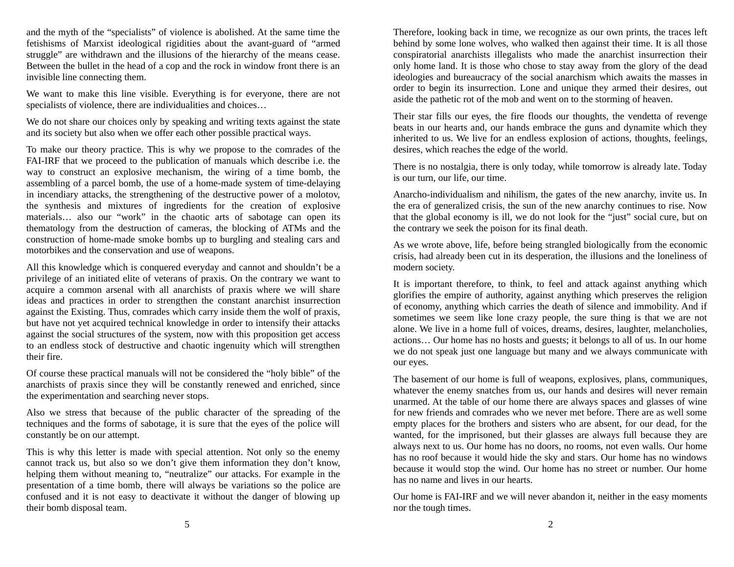and the myth of the "specialists" of violence is abolished. At the same time the fetishisms of Marxist ideological rigidities about the avant-guard of "armed struggle" are withdrawn and the illusions of the hierarchy of the means cease. Between the bullet in the head of a cop and the rock in window front there is an invisible line connecting them.

We want to make this line visible. Everything is for everyone, there are not specialists of violence, there are individualities and choices…

We do not share our choices only by speaking and writing texts against the state and its society but also when we offer each other possible practical ways.

To make our theory practice. This is why we propose to the comrades of the FAI-IRF that we proceed to the publication of manuals which describe i.e. the way to construct an explosive mechanism, the wiring of a time bomb, the assembling of a parcel bomb, the use of a home-made system of time-delaying in incendiary attacks, the strengthening of the destructive power of a molotov, the synthesis and mixtures of ingredients for the creation of explosive materials… also our "work" in the chaotic arts of sabotage can open its thematology from the destruction of cameras, the blocking of ATMs and the construction of home-made smoke bombs up to burgling and stealing cars and motorbikes and the conservation and use of weapons.

All this knowledge which is conquered everyday and cannot and shouldn't be a privilege of an initiated elite of veterans of praxis. On the contrary we want to acquire a common arsenal with all anarchists of praxis where we will share ideas and practices in order to strengthen the constant anarchist insurrection against the Existing. Thus, comrades which carry inside them the wolf of praxis, but have not yet acquired technical knowledge in order to intensify their attacks against the social structures of the system, now with this proposition get access to an endless stock of destructive and chaotic ingenuity which will strengthen their fire.

Of course these practical manuals will not be considered the "holy bible" of the anarchists of praxis since they will be constantly renewed and enriched, since the experimentation and searching never stops.

Also we stress that because of the public character of the spreading of the techniques and the forms of sabotage, it is sure that the eyes of the police will constantly be on our attempt.

This is why this letter is made with special attention. Not only so the enemy cannot track us, but also so we don't give them information they don't know, helping them without meaning to, "neutralize" our attacks. For example in the presentation of a time bomb, there will always be variations so the police are confused and it is not easy to deactivate it without the danger of blowing up their bomb disposal team.

Therefore, looking back in time, we recognize as our own prints, the traces left behind by some lone wolves, who walked then against their time. It is all those conspiratorial anarchists illegalists who made the anarchist insurrection their only home land. It is those who chose to stay away from the glory of the dead ideologies and bureaucracy of the social anarchism which awaits the masses in order to begin its insurrection. Lone and unique they armed their desires, out aside the pathetic rot of the mob and went on to the storming of heaven.

Their star fills our eyes, the fire floods our thoughts, the vendetta of revenge beats in our hearts and, our hands embrace the guns and dynamite which they inherited to us. We live for an endless explosion of actions, thoughts, feelings, desires, which reaches the edge of the world.

There is no nostalgia, there is only today, while tomorrow is already late. Today is our turn, our life, our time.

Anarcho-individualism and nihilism, the gates of the new anarchy, invite us. In the era of generalized crisis, the sun of the new anarchy continues to rise. Now that the global economy is ill, we do not look for the "just" social cure, but on the contrary we seek the poison for its final death.

As we wrote above, life, before being strangled biologically from the economic crisis, had already been cut in its desperation, the illusions and the loneliness of modern society.

It is important therefore, to think, to feel and attack against anything which glorifies the empire of authority, against anything which preserves the religion of economy, anything which carries the death of silence and immobility. And if sometimes we seem like lone crazy people, the sure thing is that we are not alone. We live in a home full of voices, dreams, desires, laughter, melancholies, actions… Our home has no hosts and guests; it belongs to all of us. In our home we do not speak just one language but many and we always communicate with our eyes.

The basement of our home is full of weapons, explosives, plans, communiques, whatever the enemy snatches from us, our hands and desires will never remain unarmed. At the table of our home there are always spaces and glasses of wine for new friends and comrades who we never met before. There are as well some empty places for the brothers and sisters who are absent, for our dead, for the wanted, for the imprisoned, but their glasses are always full because they are always next to us. Our home has no doors, no rooms, not even walls. Our home has no roof because it would hide the sky and stars. Our home has no windows because it would stop the wind. Our home has no street or number. Our home has no name and lives in our hearts.

Our home is FAI-IRF and we will never abandon it, neither in the easy moments nor the tough times.